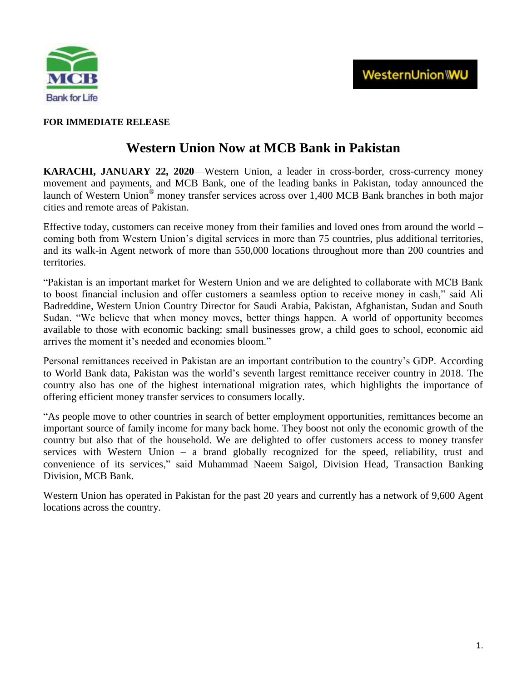

## **FOR IMMEDIATE RELEASE**

# **Western Union Now at MCB Bank in Pakistan**

**KARACHI, JANUARY 22, 2020**[—Western Union,](https://corporate.westernunion.com/index.html) a leader in cross-border, cross-currency money movement and payments, and [MCB Bank,](https://www.mcb.com.pk/) one of the leading banks in Pakistan, today announced the launch of Western Union® money transfer services across over 1,400 MCB Bank branches in both major cities and remote areas of Pakistan.

Effective today, customers can receive money from their families and loved ones from around the world – coming both from Western Union's digital services in more than 75 countries, plus additional territories, and its walk-in Agent network of more than 550,000 locations throughout more than 200 countries and territories.

―Pakistan is an important market for Western Union and we are delighted to collaborate with MCB Bank to boost financial inclusion and offer customers a seamless option to receive money in cash," said Ali Badreddine, Western Union Country Director for Saudi Arabia, Pakistan, Afghanistan, Sudan and South Sudan. "We believe that when money moves, better things happen. A world of opportunity becomes available to those with economic backing: small businesses grow, a child goes to school, economic aid arrives the moment it's needed and economies bloom."

Personal remittances received in Pakistan are an important contribution to the country's GDP. According to [World Bank](https://www.knomad.org/sites/default/files/2019-04/Migrationanddevelopmentbrief31.pdf) data, Pakistan was the world's seventh largest remittance receiver country in 2018. The country also has one of the highest international migration rates, which highlights the importance of offering efficient money transfer services to consumers locally.

―As people move to other countries in search of better employment opportunities, remittances become an important source of family income for many back home. They boost not only the economic growth of the country but also that of the household. We are delighted to offer customers access to money transfer services with Western Union – a brand globally recognized for the speed, reliability, trust and convenience of its services," said Muhammad Naeem Saigol, Division Head, Transaction Banking Division, MCB Bank.

Western Union has operated in Pakistan for the past 20 years and currently has a network of 9,600 Agent locations across the country.